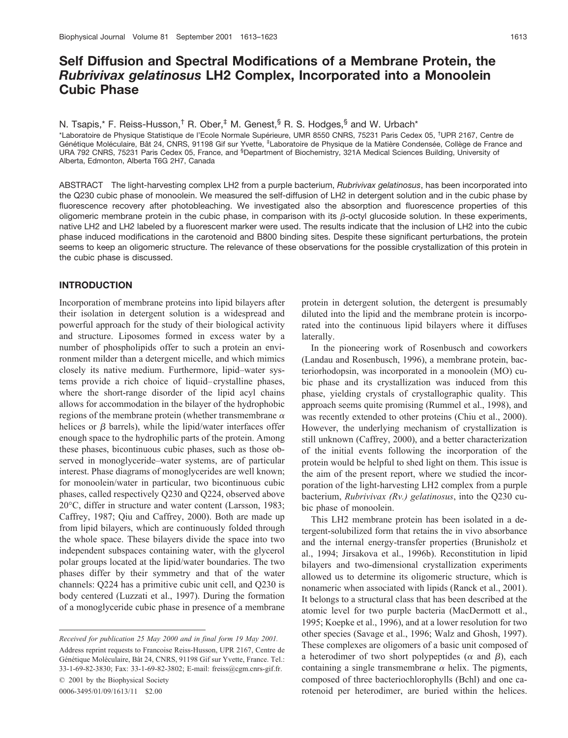# **Self Diffusion and Spectral Modifications of a Membrane Protein, the** *Rubrivivax gelatinosus* **LH2 Complex, Incorporated into a Monoolein Cubic Phase**

N. Tsapis,\* F. Reiss-Husson,<sup>†</sup> R. Ober,<sup>‡</sup> M. Genest,<sup>§</sup> R. S. Hodges,<sup>§</sup> and W. Urbach\*

\*Laboratoire de Physique Statistique de l'Ecole Normale Supérieure, UMR 8550 CNRS, 75231 Paris Cedex 05, <sup>†</sup>UPR 2167, Centre de Génétique Moléculaire, Bât 24, CNRS, 91198 Gif sur Yvette, <sup>‡</sup>Laboratoire de Physique de la Matière Condensée, Collège de France and URA 792 CNRS, 75231 Paris Cedex 05, France, and <sup>§</sup>Department of Biochemistry, 321A Medical Sciences Building, University of Alberta, Edmonton, Alberta T6G 2H7, Canada

ABSTRACT The light-harvesting complex LH2 from a purple bacterium, *Rubrivivax gelatinosus*, has been incorporated into the Q230 cubic phase of monoolein. We measured the self-diffusion of LH2 in detergent solution and in the cubic phase by fluorescence recovery after photobleaching. We investigated also the absorption and fluorescence properties of this oligomeric membrane protein in the cubic phase, in comparison with its  $\beta$ -octyl glucoside solution. In these experiments, native LH2 and LH2 labeled by a fluorescent marker were used. The results indicate that the inclusion of LH2 into the cubic phase induced modifications in the carotenoid and B800 binding sites. Despite these significant perturbations, the protein seems to keep an oligomeric structure. The relevance of these observations for the possible crystallization of this protein in the cubic phase is discussed.

#### **INTRODUCTION**

Incorporation of membrane proteins into lipid bilayers after their isolation in detergent solution is a widespread and powerful approach for the study of their biological activity and structure. Liposomes formed in excess water by a number of phospholipids offer to such a protein an environment milder than a detergent micelle, and which mimics closely its native medium. Furthermore, lipid–water systems provide a rich choice of liquid– crystalline phases, where the short-range disorder of the lipid acyl chains allows for accommodation in the bilayer of the hydrophobic regions of the membrane protein (whether transmembrane  $\alpha$ helices or  $\beta$  barrels), while the lipid/water interfaces offer enough space to the hydrophilic parts of the protein. Among these phases, bicontinuous cubic phases, such as those observed in monoglyceride–water systems, are of particular interest. Phase diagrams of monoglycerides are well known; for monoolein/water in particular, two bicontinuous cubic phases, called respectively Q230 and Q224, observed above 20°C, differ in structure and water content (Larsson, 1983; Caffrey, 1987; Qiu and Caffrey, 2000). Both are made up from lipid bilayers, which are continuously folded through the whole space. These bilayers divide the space into two independent subspaces containing water, with the glycerol polar groups located at the lipid/water boundaries. The two phases differ by their symmetry and that of the water channels: Q224 has a primitive cubic unit cell, and Q230 is body centered (Luzzati et al., 1997). During the formation of a monoglyceride cubic phase in presence of a membrane

*Received for publication 25 May 2000 and in final form 19 May 2001.*

Address reprint requests to Francoise Reiss-Husson, UPR 2167, Centre de Génétique Moléculaire, Bât 24, CNRS, 91198 Gif sur Yvette, France. Tel.: 33-1-69-82-3830; Fax: 33-1-69-82-3802; E-mail: freiss@cgm.cnrs-gif.fr.

© 2001 by the Biophysical Society

0006-3495/01/09/1613/11 \$2.00

protein in detergent solution, the detergent is presumably diluted into the lipid and the membrane protein is incorporated into the continuous lipid bilayers where it diffuses laterally.

In the pioneering work of Rosenbusch and coworkers (Landau and Rosenbusch, 1996), a membrane protein, bacteriorhodopsin, was incorporated in a monoolein (MO) cubic phase and its crystallization was induced from this phase, yielding crystals of crystallographic quality. This approach seems quite promising (Rummel et al., 1998), and was recently extended to other proteins (Chiu et al., 2000). However, the underlying mechanism of crystallization is still unknown (Caffrey, 2000), and a better characterization of the initial events following the incorporation of the protein would be helpful to shed light on them. This issue is the aim of the present report, where we studied the incorporation of the light-harvesting LH2 complex from a purple bacterium, *Rubrivivax (Rv.) gelatinosus*, into the Q230 cubic phase of monoolein.

This LH2 membrane protein has been isolated in a detergent-solubilized form that retains the in vivo absorbance and the internal energy-transfer properties (Brunisholz et al., 1994; Jirsakova et al., 1996b). Reconstitution in lipid bilayers and two-dimensional crystallization experiments allowed us to determine its oligomeric structure, which is nonameric when associated with lipids (Ranck et al., 2001). It belongs to a structural class that has been described at the atomic level for two purple bacteria (MacDermott et al., 1995; Koepke et al., 1996), and at a lower resolution for two other species (Savage et al., 1996; Walz and Ghosh, 1997). These complexes are oligomers of a basic unit composed of a heterodimer of two short polypeptides ( $\alpha$  and  $\beta$ ), each containing a single transmembrane  $\alpha$  helix. The pigments, composed of three bacteriochlorophylls (Bchl) and one carotenoid per heterodimer, are buried within the helices.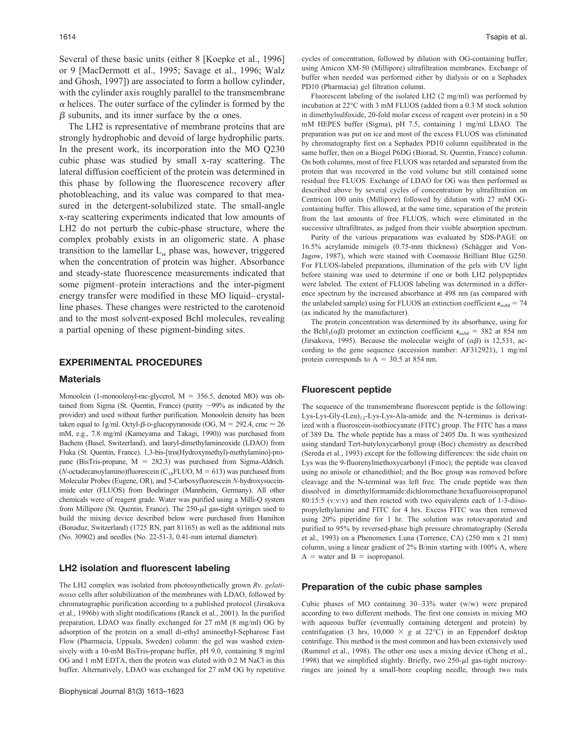Several of these basic units (either 8 [Koepke et al., 1996] or 9 [MacDermott et al., 1995; Savage et al., 1996; Walz and Ghosh, 1997]) are associated to form a hollow cylinder, with the cylinder axis roughly parallel to the transmembrane  $\alpha$  helices. The outer surface of the cylinder is formed by the  $\beta$  subunits, and its inner surface by the  $\alpha$  ones.

The LH2 is representative of membrane proteins that are strongly hydrophobic and devoid of large hydrophilic parts. In the present work, its incorporation into the MO Q230 cubic phase was studied by small x-ray scattering. The lateral diffusion coefficient of the protein was determined in this phase by following the fluorescence recovery after photobleaching, and its value was compared to that measured in the detergent-solubilized state. The small-angle x-ray scattering experiments indicated that low amounts of LH2 do not perturb the cubic-phase structure, where the complex probably exists in an oligomeric state. A phase transition to the lamellar  $L_{\alpha}$  phase was, however, triggered when the concentration of protein was higher. Absorbance and steady-state fluorescence measurements indicated that some pigment–protein interactions and the inter-pigment energy transfer were modified in these MO liquid– crystalline phases. These changes were restricted to the carotenoid and to the most solvent-exposed Bchl molecules, revealing a partial opening of these pigment-binding sites.

# **EXPERIMENTAL PROCEDURES**

#### **Materials**

Monoolein (1-monooleoyl-rac-glycerol,  $M = 356.5$ , denoted MO) was obtained from Sigma (St. Quentin, France) (purity  $\sim$ 99% as indicated by the provider) and used without further purification. Monoolein density has been taken equal to 1g/ml. Octyl- $\beta$ -D-glucopyranoside (OG, M = 292.4, cmc  $\approx$  26 mM, e.g., 7.8 mg/ml (Kameyama and Takagi, 1990)) was purchased from Bachem (Basel, Switzerland), and lauryl-dimethylamineoxide (LDAO) from Fluka (St. Quentin, France). 1,3-bis-[tris(Hydroxymethyl)-methylamino]-propane (BisTris-propane,  $M = 282.3$ ) was purchased from Sigma-Aldrich.  $(N$ -octadecanoylamino)fluorescein  $(C_{18}FLUO, M = 613)$  was purchased from Molecular Probes (Eugene, OR), and 5-Carboxyfluorescein *N*-hydroxysuccinimide ester (FLUOS) from Boehringer (Mannheim, Germany). All other chemicals were of reagent grade. Water was purified using a Milli-Q system from Millipore (St. Quentin, France). The  $250-\mu l$  gas-tight syringes used to build the mixing device described below were purchased from Hamilton (Bonaduz, Switzerland) (1725 RN, part 81165) as well as the additional nuts (No. 30902) and needles (No. 22-51-3, 0.41-mm internal diameter).

#### **LH2 isolation and fluorescent labeling**

The LH2 complex was isolated from photosynthetically grown *Rv. gelatinosus* cells after solubilization of the membranes with LDAO, followed by chromatographic purification according to a published protocol (Jirsakova et al., 1996b) with slight modifications (Ranck et al., 2001). In the purified preparation, LDAO was finally exchanged for 27 mM (8 mg/ml) OG by adsorption of the protein on a small di-ethyl aminoethyl-Sepharose Fast Flow (Pharmacia, Uppsala, Sweden) column: the gel was washed extensively with a 10-mM BisTris-propane buffer, pH 9.0, containing 8 mg/ml OG and 1 mM EDTA, then the protein was eluted with 0.2 M NaCl in this buffer. Alternatively, LDAO was exchanged for 27 mM OG by repetitive cycles of concentration, followed by dilution with OG-containing buffer, using Amicon XM-50 (Millipore) ultrafiltration membranes. Exchange of buffer when needed was performed either by dialysis or on a Sephadex PD10 (Pharmacia) gel filtration column.

Fluorescent labeling of the isolated LH2 (2 mg/ml) was performed by incubation at 22°C with 3 mM FLUOS (added from a 0.3 M stock solution in dimethylsulfoxide, 20-fold molar excess of reagent over protein) in a 50 mM HEPES buffer (Sigma), pH 7.5, containing 1 mg/ml LDAO. The preparation was put on ice and most of the excess FLUOS was eliminated by chromatography first on a Sephadex PD10 column equilibrated in the same buffer, then on a Biogel P6DG (Biorad, St. Quentin, France) column. On both columns, most of free FLUOS was retarded and separated from the protein that was recovered in the void volume but still contained some residual free FLUOS. Exchange of LDAO for OG was then performed as described above by several cycles of concentration by ultrafiltration on Centricon 100 units (Millipore) followed by dilution with 27 mM OGcontaining buffer. This allowed, at the same time, separation of the protein from the last amounts of free FLUOS, which were eliminated in the successive ultrafiltrates, as judged from their visible absorption spectrum.

Purity of the various preparations was evaluated by SDS-PAGE on 16.5% acrylamide minigels (0.75-mm thickness) (Schägger and Von-Jagow, 1987), which were stained with Coomassie Brilliant Blue G250. For FLUOS-labeled preparations, illumination of the gels with UV light before staining was used to determine if one or both LH2 polypeptides were labeled. The extent of FLUOS labeling was determined in a difference spectrum by the increased absorbance at 498 nm (as compared with the unlabeled sample) using for FLUOS an extinction coefficient  $\epsilon_{\text{mM}} = 74$ (as indicated by the manufacturer).

The protein concentration was determined by its absorbance, using for the Bchl<sub>3</sub>( $\alpha\beta$ ) protomer an extinction coefficient  $\epsilon_{\text{mM}}$  = 382 at 854 nm (Jirsakova, 1995). Because the molecular weight of  $(\alpha\beta)$  is 12,531, according to the gene sequence (accession number: AF312921), 1 mg/ml protein corresponds to  $A = 30.5$  at 854 nm.

## **Fluorescent peptide**

The sequence of the transmembrane fluorescent peptide is the following: Lys-Lys-Gly- $(Leu)_{12}$ -Lys-Lys-Ala-amide and the N-terminus is derivatized with a fluoroscein-isothiocyanate (FITC) group. The FITC has a mass of 389 Da. The whole peptide has a mass of 2405 Da. It was synthesized using standard Tert-butyloxycarbonyl group (Boc) chemistry as described (Sereda et al., 1993) except for the following differences: the side chain on Lys was the 9-fluorenylmethoxycarbonyl (Fmoc); the peptide was cleaved using no anisole or ethanedithiol; and the Boc group was removed before cleavage and the N-terminal was left free. The crude peptide was then dissolved in dimethylformamide:dichloromethane:hexafluoroisopropanol 80:15:5 (v:v:v) and then reacted with two equivalents each of 1-3-diisopropylethylamine and FITC for 4 hrs. Excess FITC was then removed using 20% piperidine for 1 hr. The solution was rotoevaporated and purified to 95% by reversed-phase high pressure chromatography (Sereda et al., 1993) on a Phenomenex Luna (Torrence, CA) (250 mm x 21 mm) column, using a linear gradient of 2% B/min starting with 100% A, where  $A =$  water and  $B =$  isopropanol.

#### **Preparation of the cubic phase samples**

Cubic phases of MO containing  $30-33\%$  water (w/w) were prepared according to two different methods. The first one consists in mixing MO with aqueous buffer (eventually containing detergent and protein) by centrifugation (3 hrs,  $10,000 \times g$  at 22<sup>o</sup>C) in an Eppendorf desktop centrifuge. This method is the most common and has been extensively used (Rummel et al., 1998). The other one uses a mixing device (Cheng et al., 1998) that we simplified slightly. Briefly, two  $250-\mu l$  gas-tight microsyringes are joined by a small-bore coupling needle, through two nuts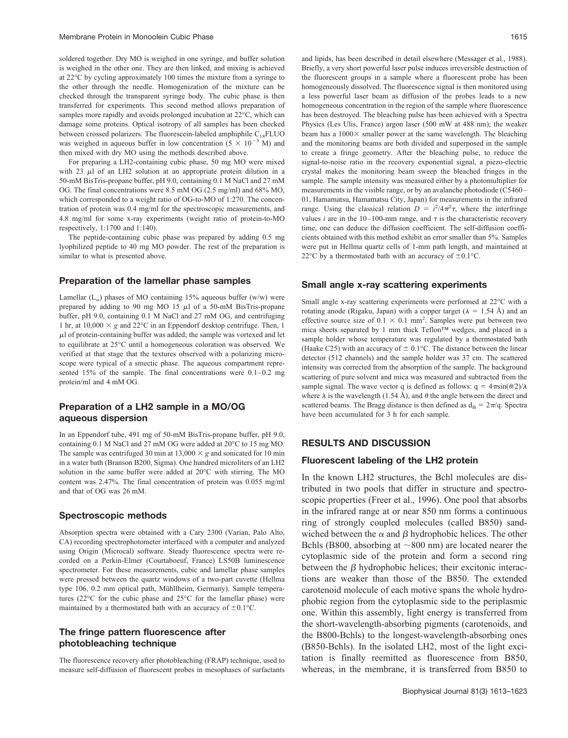soldered together. Dry MO is weighed in one syringe, and buffer solution is weighed in the other one. They are then linked, and mixing is achieved at 22°C by cycling approximately 100 times the mixture from a syringe to the other through the needle. Homogenization of the mixture can be checked through the transparent syringe body. The cubic phase is then transferred for experiments. This second method allows preparation of samples more rapidly and avoids prolonged incubation at 22°C, which can damage some proteins. Optical isotropy of all samples has been checked between crossed polarizers. The fluorescein-labeled amphiphile  $C_{18}$ FLUO was weighed in aqueous buffer in low concentration  $(5 \times 10^{-3} \text{ M})$  and then mixed with dry MO using the methods described above.

For preparing a LH2-containing cubic phase, 50 mg MO were mixed with 23  $\mu$ l of an LH2 solution at an appropriate protein dilution in a 50-mM BisTris-propane buffer, pH 9.0, containing 0.1 M NaCl and 27 mM OG. The final concentrations were 8.5 mM OG (2.5 mg/ml) and 68% MO, which corresponded to a weight ratio of OG-to-MO of 1:270. The concentration of protein was 0.4 mg/ml for the spectroscopic measurements, and 4.8 mg/ml for some x-ray experiments (weight ratio of protein-to-MO respectively, 1:1700 and 1:140).

The peptide-containing cubic phase was prepared by adding 0.5 mg lyophilized peptide to 40 mg MO powder. The rest of the preparation is similar to what is presented above.

#### **Preparation of the lamellar phase samples**

Lamellar  $(L_{\alpha})$  phases of MO containing 15% aqueous buffer (w/w) were prepared by adding to 90 mg MO 15  $\mu$ l of a 50-mM BisTris-propane buffer, pH 9.0, containing 0.1 M NaCl and 27 mM OG, and centrifuging 1 hr, at  $10,000 \times g$  and  $22^{\circ}$ C in an Eppendorf desktop centrifuge. Then, 1  $\mu$ l of protein-containing buffer was added; the sample was vortexed and let to equilibrate at 25°C until a homogeneous coloration was observed. We verified at that stage that the textures observed with a polarizing microscope were typical of a smectic phase. The aqueous compartment represented  $15\%$  of the sample. The final concentrations were  $0.1-0.2$  mg protein/ml and 4 mM OG.

# **Preparation of a LH2 sample in a MO/OG aqueous dispersion**

In an Eppendorf tube, 491 mg of 50-mM BisTris-propane buffer, pH 9.0, containing 0.1 M NaCl and 27 mM OG were added at 20°C to 15 mg MO. The sample was centrifuged 30 min at  $13,000 \times g$  and sonicated for 10 min in a water bath (Branson B200, Sigma). One hundred microliters of an LH2 solution in the same buffer were added at 20°C with stirring. The MO content was 2.47%. The final concentration of protein was 0.055 mg/ml and that of OG was 26 mM.

#### **Spectroscopic methods**

Absorption spectra were obtained with a Cary 2300 (Varian, Palo Alto, CA) recording spectrophotometer interfaced with a computer and analyzed using Origin (Microcal) software. Steady fluorescence spectra were recorded on a Perkin-Elmer (Courtaboeuf, France) LS50B luminescence spectrometer. For these measurements, cubic and lamellar phase samples were pressed between the quartz windows of a two-part cuvette (Hellma type 106, 0.2 mm optical path, Mühllheim, Germany). Sample temperatures (22°C for the cubic phase and 25°C for the lamellar phase) were maintained by a thermostated bath with an accuracy of  $\pm 0.1$ °C.

### **The fringe pattern fluorescence after photobleaching technique**

The fluorescence recovery after photobleaching (FRAP) technique, used to measure self-diffusion of fluorescent probes in mesophases of surfactants and lipids, has been described in detail elsewhere (Messager et al., 1988). Briefly, a very short powerful laser pulse induces irreversible destruction of the fluorescent groups in a sample where a fluorescent probe has been homogeneously dissolved. The fluorescence signal is then monitored using a less powerful laser beam as diffusion of the probes leads to a new homogeneous concentration in the region of the sample where fluorescence has been destroyed. The bleaching pulse has been achieved with a Spectra Physics (Les Ulis, France) argon laser (500 mW at 488 nm); the weaker beam has a  $1000 \times$  smaller power at the same wavelength. The bleaching and the monitoring beams are both divided and superposed in the sample to create a fringe geometry. After the bleaching pulse, to reduce the signal-to-noise ratio in the recovery exponential signal, a piezo-electric crystal makes the monitoring beam sweep the bleached fringes in the sample. The sample intensity was measured either by a photomultiplier for measurements in the visible range, or by an avalanche photodiode (C5460 – 01, Hamamatsu, Hamamatsu City, Japan) for measurements in the infrared range. Using the classical relation  $D = i^2/4\pi^2\tau$ , where the interfringe values *i* are in the 10–100-mm range, and  $\tau$  is the characteristic recovery time, one can deduce the diffusion coefficient. The self-diffusion coefficients obtained with this method exhibit an error smaller than 5%. Samples were put in Hellma quartz cells of 1-mm path length, and maintained at 22 $\degree$ C by a thermostated bath with an accuracy of  $\pm 0.1\degree$ C.

#### **Small angle x-ray scattering experiments**

Small angle x-ray scattering experiments were performed at 22°C with a rotating anode (Rigaku, Japan) with a copper target ( $\lambda = 1.54$  Å) and an effective source size of  $0.1 \times 0.1$  mm<sup>2</sup>. Samples were put between two mica sheets separated by 1 mm thick Teflon™ wedges, and placed in a sample holder whose temperature was regulated by a thermostated bath (Haake C25) with an accuracy of  $\pm$  0.1°C. The distance between the linear detector (512 channels) and the sample holder was 37 cm. The scattered intensity was corrected from the absorption of the sample. The background scattering of pure solvent and mica was measured and subtracted from the sample signal. The wave vector q is defined as follows:  $q = 4\pi \sin(\theta/2)/\lambda$ where  $\lambda$  is the wavelength (1.54 Å), and  $\theta$  the angle between the direct and scattered beams. The Bragg distance is then defined as  $d_B = 2\pi/q$ . Spectra have been accumulated for 3 h for each sample.

# **RESULTS AND DISCUSSION**

#### **Fluorescent labeling of the LH2 protein**

In the known LH2 structures, the Bchl molecules are distributed in two pools that differ in structure and spectroscopic properties (Freer et al., 1996). One pool that absorbs in the infrared range at or near 850 nm forms a continuous ring of strongly coupled molecules (called B850) sandwiched between the  $\alpha$  and  $\beta$  hydrophobic helices. The other Bchls (B800, absorbing at  $\sim$ 800 nm) are located nearer the cytoplasmic side of the protein and form a second ring between the  $\beta$  hydrophobic helices; their excitonic interactions are weaker than those of the B850. The extended carotenoid molecule of each motive spans the whole hydrophobic region from the cytoplasmic side to the periplasmic one. Within this assembly, light energy is transferred from the short-wavelength-absorbing pigments (carotenoids, and the B800-Bchls) to the longest-wavelength-absorbing ones (B850-Bchls). In the isolated LH2, most of the light excitation is finally reemitted as fluorescence from B850, whereas, in the membrane, it is transferred from B850 to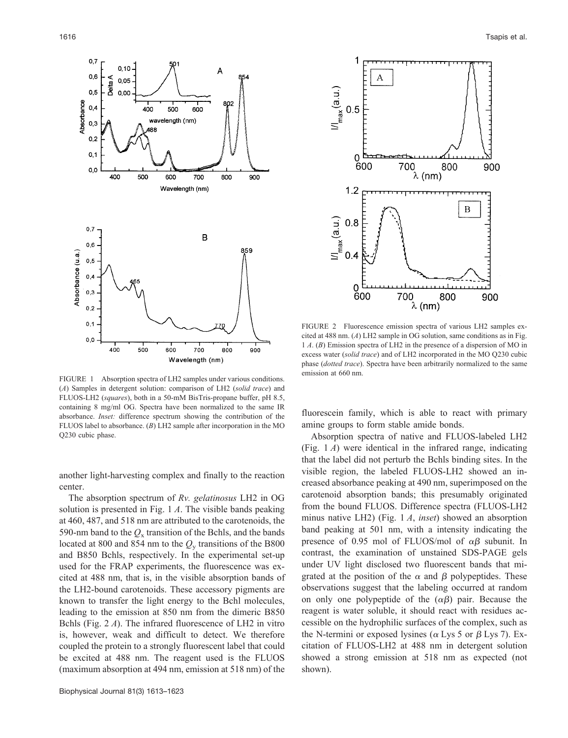

FIGURE 1 Absorption spectra of LH2 samples under various conditions. (*A*) Samples in detergent solution: comparison of LH2 (*solid trace*) and FLUOS-LH2 (*squares*), both in a 50-mM BisTris-propane buffer, pH 8.5, containing 8 mg/ml OG. Spectra have been normalized to the same IR absorbance. *Inset:* difference spectrum showing the contribution of the FLUOS label to absorbance. (*B*) LH2 sample after incorporation in the MO Q230 cubic phase.

another light-harvesting complex and finally to the reaction center.

The absorption spectrum of *Rv. gelatinosus* LH2 in OG solution is presented in Fig. 1 *A*. The visible bands peaking at 460, 487, and 518 nm are attributed to the carotenoids, the 590-nm band to the  $Q_x$  transition of the Bchls, and the bands located at 800 and 854 nm to the  $Q_v$  transitions of the B800 and B850 Bchls, respectively. In the experimental set-up used for the FRAP experiments, the fluorescence was excited at 488 nm, that is, in the visible absorption bands of the LH2-bound carotenoids. These accessory pigments are known to transfer the light energy to the Bchl molecules, leading to the emission at 850 nm from the dimeric B850 Bchls (Fig. 2 *A*). The infrared fluorescence of LH2 in vitro is, however, weak and difficult to detect. We therefore coupled the protein to a strongly fluorescent label that could be excited at 488 nm. The reagent used is the FLUOS (maximum absorption at 494 nm, emission at 518 nm) of the



FIGURE 2 Fluorescence emission spectra of various LH2 samples excited at 488 nm. (*A*) LH2 sample in OG solution, same conditions as in Fig. 1 *A*. (*B*) Emission spectra of LH2 in the presence of a dispersion of MO in excess water (*solid trace*) and of LH2 incorporated in the MO Q230 cubic phase (*dotted trace*). Spectra have been arbitrarily normalized to the same emission at 660 nm.

fluorescein family, which is able to react with primary amine groups to form stable amide bonds.

Absorption spectra of native and FLUOS-labeled LH2 (Fig. 1 *A*) were identical in the infrared range, indicating that the label did not perturb the Bchls binding sites. In the visible region, the labeled FLUOS-LH2 showed an increased absorbance peaking at 490 nm, superimposed on the carotenoid absorption bands; this presumably originated from the bound FLUOS. Difference spectra (FLUOS-LH2 minus native LH2) (Fig. 1 *A*, *inset*) showed an absorption band peaking at 501 nm, with a intensity indicating the presence of 0.95 mol of FLUOS/mol of  $\alpha\beta$  subunit. In contrast, the examination of unstained SDS-PAGE gels under UV light disclosed two fluorescent bands that migrated at the position of the  $\alpha$  and  $\beta$  polypeptides. These observations suggest that the labeling occurred at random on only one polypeptide of the  $(\alpha\beta)$  pair. Because the reagent is water soluble, it should react with residues accessible on the hydrophilic surfaces of the complex, such as the N-termini or exposed lysines ( $\alpha$  Lys 5 or  $\beta$  Lys 7). Excitation of FLUOS-LH2 at 488 nm in detergent solution showed a strong emission at 518 nm as expected (not shown).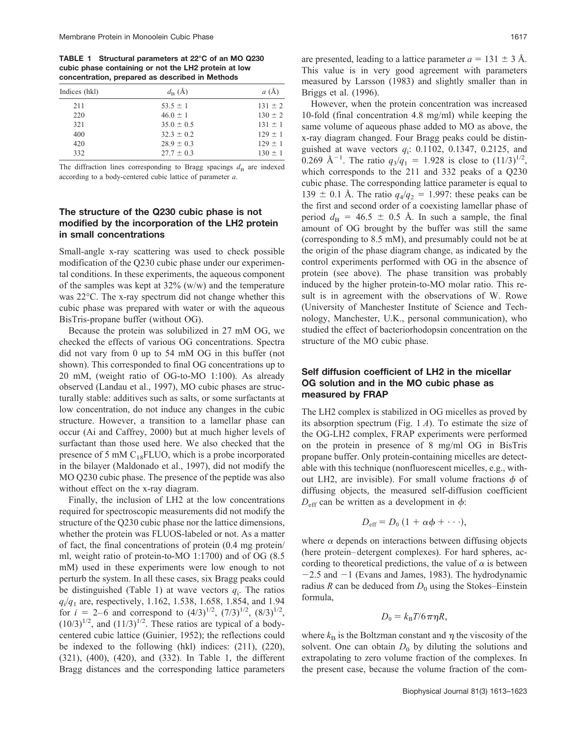**TABLE 1 Structural parameters at 22°C of an MO Q230 cubic phase containing or not the LH2 protein at low concentration, prepared as described in Methods**

| Indices (hkl) | $d_{\rm B}$ (Å) | a(A)        |
|---------------|-----------------|-------------|
| 211           | $53.5 \pm 1$    | $131 \pm 2$ |
| 220           | $46.0 \pm 1$    | $130 \pm 2$ |
| 321           | $35.0 \pm 0.5$  | $131 \pm 1$ |
| 400           | $32.3 \pm 0.2$  | $129 \pm 1$ |
| 420           | $28.9 \pm 0.3$  | $129 \pm 1$ |
| 332           | $27.7 \pm 0.3$  | $130 \pm 1$ |

The diffraction lines corresponding to Bragg spacings  $d<sub>B</sub>$  are indexed according to a body-centered cubic lattice of parameter *a*.

# **The structure of the Q230 cubic phase is not modified by the incorporation of the LH2 protein in small concentrations**

Small-angle x-ray scattering was used to check possible modification of the Q230 cubic phase under our experimental conditions. In these experiments, the aqueous component of the samples was kept at  $32\%$  (w/w) and the temperature was 22°C. The x-ray spectrum did not change whether this cubic phase was prepared with water or with the aqueous BisTris-propane buffer (without OG).

Because the protein was solubilized in 27 mM OG, we checked the effects of various OG concentrations. Spectra did not vary from 0 up to 54 mM OG in this buffer (not shown). This corresponded to final OG concentrations up to 20 mM, (weight ratio of OG-to-MO 1:100). As already observed (Landau et al., 1997), MO cubic phases are structurally stable: additives such as salts, or some surfactants at low concentration, do not induce any changes in the cubic structure. However, a transition to a lamellar phase can occur (Ai and Caffrey, 2000) but at much higher levels of surfactant than those used here. We also checked that the presence of 5 mM  $C_{18}$ FLUO, which is a probe incorporated in the bilayer (Maldonado et al., 1997), did not modify the MO Q230 cubic phase. The presence of the peptide was also without effect on the x-ray diagram.

Finally, the inclusion of LH2 at the low concentrations required for spectroscopic measurements did not modify the structure of the Q230 cubic phase nor the lattice dimensions, whether the protein was FLUOS-labeled or not. As a matter of fact, the final concentrations of protein (0.4 mg protein/ ml, weight ratio of protein-to-MO 1:1700) and of OG (8.5 mM) used in these experiments were low enough to not perturb the system. In all these cases, six Bragg peaks could be distinguished (Table 1) at wave vectors  $q_i$ . The ratios *q*i /*q*<sup>1</sup> are, respectively, 1.162, 1.538, 1.658, 1.854, and 1.94 for  $i = 2-6$  and correspond to  $(4/3)^{1/2}$ ,  $(7/3)^{1/2}$ ,  $(8/3)^{1/2}$ ,  $(10/3)^{1/2}$ , and  $(11/3)^{1/2}$ . These ratios are typical of a bodycentered cubic lattice (Guinier, 1952); the reflections could be indexed to the following (hkl) indices: (211), (220), (321), (400), (420), and (332). In Table 1, the different Bragg distances and the corresponding lattice parameters

are presented, leading to a lattice parameter  $a = 131 \pm 3$  Å. This value is in very good agreement with parameters measured by Larsson (1983) and slightly smaller than in Briggs et al. (1996).

However, when the protein concentration was increased 10-fold (final concentration 4.8 mg/ml) while keeping the same volume of aqueous phase added to MO as above, the x-ray diagram changed. Four Bragg peaks could be distinguished at wave vectors *q*<sup>i</sup> : 0.1102, 0.1347, 0.2125, and 0.269 Å<sup>-1</sup>. The ratio  $q_3/q_1 = 1.928$  is close to  $(11/3)^{1/2}$ , which corresponds to the 211 and 332 peaks of a Q230 cubic phase. The corresponding lattice parameter is equal to 139  $\pm$  0.1 Å. The ratio  $q_4/q_2 = 1.997$ : these peaks can be the first and second order of a coexisting lamellar phase of period  $d_{\text{B}} = 46.5 \pm 0.5$  Å. In such a sample, the final amount of OG brought by the buffer was still the same (corresponding to 8.5 mM), and presumably could not be at the origin of the phase diagram change, as indicated by the control experiments performed with OG in the absence of protein (see above). The phase transition was probably induced by the higher protein-to-MO molar ratio. This result is in agreement with the observations of W. Rowe (University of Manchester Institute of Science and Technology, Manchester, U.K., personal communication), who studied the effect of bacteriorhodopsin concentration on the structure of the MO cubic phase.

# **Self diffusion coefficient of LH2 in the micellar OG solution and in the MO cubic phase as measured by FRAP**

The LH2 complex is stabilized in OG micelles as proved by its absorption spectrum (Fig. 1 *A*). To estimate the size of the OG-LH2 complex, FRAP experiments were performed on the protein in presence of 8 mg/ml OG in BisTris propane buffer. Only protein-containing micelles are detectable with this technique (nonfluorescent micelles, e.g., without LH2, are invisible). For small volume fractions  $\phi$  of diffusing objects, the measured self-diffusion coefficient  $D_{\text{eff}}$  can be written as a development in  $\phi$ :

$$
D_{\rm eff} = D_0 (1 + \alpha \phi + \cdots),
$$

where  $\alpha$  depends on interactions between diffusing objects (here protein– detergent complexes). For hard spheres, according to theoretical predictions, the value of  $\alpha$  is between  $-2.5$  and  $-1$  (Evans and James, 1983). The hydrodynamic radius *R* can be deduced from  $D_0$  using the Stokes–Einstein formula,

$$
D_0 = k_{\rm B} T / 6 \pi \eta R,
$$

where  $k_B$  is the Boltzman constant and  $\eta$  the viscosity of the solvent. One can obtain  $D_0$  by diluting the solutions and extrapolating to zero volume fraction of the complexes. In the present case, because the volume fraction of the com-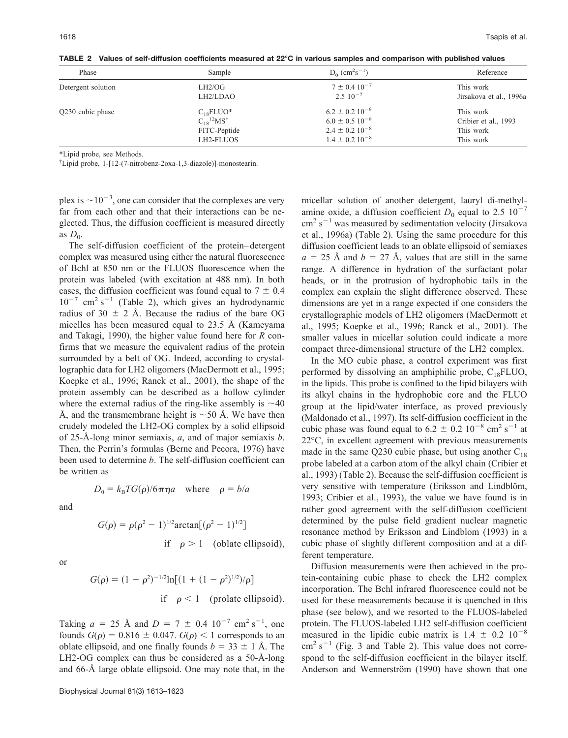| Phase              | Sample                    | $D_0$ (cm <sup>2</sup> s <sup>-1</sup> ) | Reference               |
|--------------------|---------------------------|------------------------------------------|-------------------------|
| Detergent solution | LH2/OG                    | $7 \pm 0.4 10^{-7}$                      | This work               |
|                    | LH2/LDAO                  | $2.5 \times 10^{-7}$                     | Jirsakova et al., 1996a |
| Q230 cubic phase   | $C_{18}$ FLUO*            | $6.2 \pm 0.2$ $10^{-8}$                  | This work               |
|                    | $C_{18}^{12}MS^{\dagger}$ | $6.0 \pm 0.5$ $10^{-8}$                  | Cribier et al., 1993    |
|                    | FITC-Peptide              | $2.4 \pm 0.2$ $10^{-8}$                  | This work               |
|                    | LH2-FLUOS                 | $1.4 \pm 0.2$ $10^{-8}$                  | This work               |

**TABLE 2 Values of self-diffusion coefficients measured at 22°C in various samples and comparison with published values**

\*Lipid probe, see Methods.

† Lipid probe, 1-[12-(7-nitrobenz-2oxa-1,3-diazole)]-monostearin.

plex is  $\sim 10^{-3}$ , one can consider that the complexes are very far from each other and that their interactions can be neglected. Thus, the diffusion coefficient is measured directly as  $D_0$ .

The self-diffusion coefficient of the protein– detergent complex was measured using either the natural fluorescence of Bchl at 850 nm or the FLUOS fluorescence when the protein was labeled (with excitation at 488 nm). In both cases, the diffusion coefficient was found equal to  $7 \pm 0.4$  $10^{-7}$  cm<sup>2</sup> s<sup>-1</sup> (Table 2), which gives an hydrodynamic radius of 30  $\pm$  2 Å. Because the radius of the bare OG micelles has been measured equal to 23.5 Å (Kameyama and Takagi, 1990), the higher value found here for *R* confirms that we measure the equivalent radius of the protein surrounded by a belt of OG. Indeed, according to crystallographic data for LH2 oligomers (MacDermott et al., 1995; Koepke et al., 1996; Ranck et al., 2001), the shape of the protein assembly can be described as a hollow cylinder where the external radius of the ring-like assembly is  $\sim$ 40 Å, and the transmembrane height is  $\sim$  50 Å. We have then crudely modeled the LH2-OG complex by a solid ellipsoid of 25-Å-long minor semiaxis, *a*, and of major semiaxis *b*. Then, the Perrin's formulas (Berne and Pecora, 1976) have been used to determine *b*. The self-diffusion coefficient can be written as

and

$$
G(\rho) = \rho(\rho^2 - 1)^{1/2} \arctan[(\rho^2 - 1)^{1/2}]
$$
  
if  $\rho > 1$  (oblate ellipsoid),

or

$$
G(\rho) = (1 - \rho^2)^{-1/2} \ln[(1 + (1 - \rho^2)^{1/2})/\rho]
$$
  
if  $\rho < 1$  (prolate ellipsoid).

 $D_0 = k_B T G(\rho) / 6 \pi \eta a$  where  $\rho = b/a$ 

Taking  $a = 25$  Å and  $D = 7 \pm 0.4$   $10^{-7}$  cm<sup>2</sup> s<sup>-1</sup>, one founds  $G(\rho) = 0.816 \pm 0.047$ .  $G(\rho) < 1$  corresponds to an oblate ellipsoid, and one finally founds  $b = 33 \pm 1$  Å. The LH2-OG complex can thus be considered as a 50-Å-long and 66-Å large oblate ellipsoid. One may note that, in the micellar solution of another detergent, lauryl di-methylamine oxide, a diffusion coefficient  $D_0$  equal to 2.5  $10^{-7}$  $\text{cm}^2 \text{ s}^{-1}$  was measured by sedimentation velocity (Jirsakova et al., 1996a) (Table 2). Using the same procedure for this diffusion coefficient leads to an oblate ellipsoid of semiaxes  $a = 25$  Å and  $b = 27$  Å, values that are still in the same range. A difference in hydration of the surfactant polar heads, or in the protrusion of hydrophobic tails in the complex can explain the slight difference observed. These dimensions are yet in a range expected if one considers the crystallographic models of LH2 oligomers (MacDermott et al., 1995; Koepke et al., 1996; Ranck et al., 2001). The smaller values in micellar solution could indicate a more compact three-dimensional structure of the LH2 complex.

In the MO cubic phase, a control experiment was first performed by dissolving an amphiphilic probe,  $C_{18}$ FLUO, in the lipids. This probe is confined to the lipid bilayers with its alkyl chains in the hydrophobic core and the FLUO group at the lipid/water interface, as proved previously (Maldonado et al., 1997). Its self-diffusion coefficient in the cubic phase was found equal to  $6.2 \pm 0.2$   $10^{-8}$  cm<sup>2</sup> s<sup>-1</sup> at 22°C, in excellent agreement with previous measurements made in the same Q230 cubic phase, but using another  $C_{18}$ probe labeled at a carbon atom of the alkyl chain (Cribier et al., 1993) (Table 2). Because the self-diffusion coefficient is very sensitive with temperature (Eriksson and Lindblöm, 1993; Cribier et al., 1993), the value we have found is in rather good agreement with the self-diffusion coefficient determined by the pulse field gradient nuclear magnetic resonance method by Eriksson and Lindblom (1993) in a cubic phase of slightly different composition and at a different temperature.

Diffusion measurements were then achieved in the protein-containing cubic phase to check the LH2 complex incorporation. The Bchl infrared fluorescence could not be used for these measurements because it is quenched in this phase (see below), and we resorted to the FLUOS-labeled protein. The FLUOS-labeled LH2 self-diffusion coefficient measured in the lipidic cubic matrix is  $1.4 \pm 0.2$   $10^{-8}$  $\text{cm}^2 \text{ s}^{-1}$  (Fig. 3 and Table 2). This value does not correspond to the self-diffusion coefficient in the bilayer itself. Anderson and Wennerström (1990) have shown that one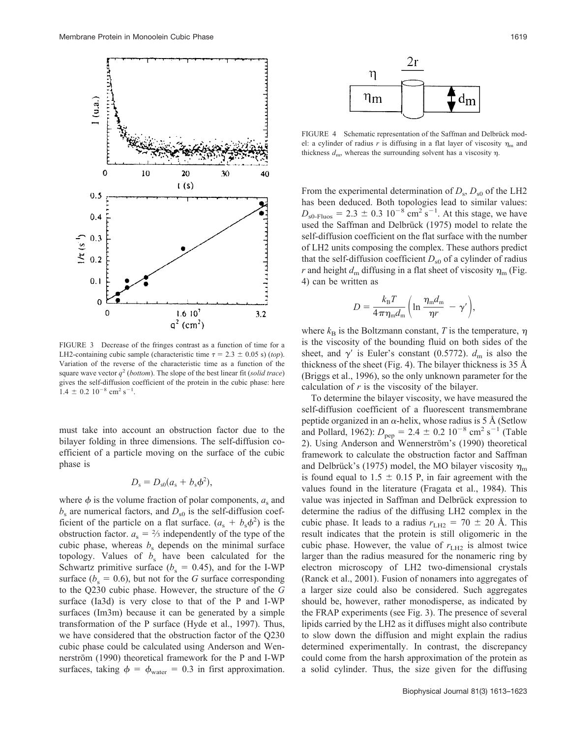

FIGURE 3 Decrease of the fringes contrast as a function of time for a LH2-containing cubic sample (characteristic time  $\tau = 2.3 \pm 0.05$  s) (*top*). Variation of the reverse of the characteristic time as a function of the square wave vector  $q^2$  (*bottom*). The slope of the best linear fit (*solid trace*) gives the self-diffusion coefficient of the protein in the cubic phase: here  $1.4 \pm 0.2$  10<sup>-8</sup> cm<sup>2</sup> s<sup>-1</sup>.

must take into account an obstruction factor due to the bilayer folding in three dimensions. The self-diffusion coefficient of a particle moving on the surface of the cubic phase is

$$
Ds = Ds0(as + bs\phi2),
$$

where  $\phi$  is the volume fraction of polar components,  $a_s$  and  $b<sub>s</sub>$  are numerical factors, and  $D<sub>s0</sub>$  is the self-diffusion coefficient of the particle on a flat surface.  $(a_s + b_s \phi^2)$  is the obstruction factor.  $a_s = \frac{2}{3}$  independently of the type of the cubic phase, whereas  $b<sub>s</sub>$  depends on the minimal surface topology. Values of  $b_s$  have been calculated for the Schwartz primitive surface ( $b_s = 0.45$ ), and for the I-WP surface ( $b_s = 0.6$ ), but not for the *G* surface corresponding to the Q230 cubic phase. However, the structure of the *G* surface (Ia3d) is very close to that of the P and I-WP surfaces (Im3m) because it can be generated by a simple transformation of the P surface (Hyde et al., 1997). Thus, we have considered that the obstruction factor of the Q230 cubic phase could be calculated using Anderson and Wennerström (1990) theoretical framework for the P and I-WP surfaces, taking  $\phi = \phi_{\text{water}} = 0.3$  in first approximation.



FIGURE 4 Schematic representation of the Saffman and Delbrück model: a cylinder of radius r is diffusing in a flat layer of viscosity  $\eta_m$  and thickness  $d_m$ , whereas the surrounding solvent has a viscosity  $\eta$ .

From the experimental determination of  $D_s$ ,  $D_{s0}$  of the LH2 has been deduced. Both topologies lead to similar values:  $D_{\text{s0-Fluos}} = 2.3 \pm 0.3 \, 10^{-8} \, \text{cm}^2 \, \text{s}^{-1}$ . At this stage, we have used the Saffman and Delbrück (1975) model to relate the self-diffusion coefficient on the flat surface with the number of LH2 units composing the complex. These authors predict that the self-diffusion coefficient  $D_{s0}$  of a cylinder of radius *r* and height  $d_m$  diffusing in a flat sheet of viscosity  $\eta_m$  (Fig. 4) can be written as

$$
D = \frac{k_{\rm B}T}{4\pi\eta_{\rm m}d_{\rm m}} \bigg(\ln\frac{\eta_{\rm m}d_{\rm m}}{\eta r} \,-\,\gamma'\bigg),
$$

where  $k_B$  is the Boltzmann constant, *T* is the temperature,  $\eta$ is the viscosity of the bounding fluid on both sides of the sheet, and  $\gamma'$  is Euler's constant (0.5772).  $d_m$  is also the thickness of the sheet (Fig. 4). The bilayer thickness is 35 Å (Briggs et al., 1996), so the only unknown parameter for the calculation of *r* is the viscosity of the bilayer.

To determine the bilayer viscosity, we have measured the self-diffusion coefficient of a fluorescent transmembrane peptide organized in an  $\alpha$ -helix, whose radius is 5 Å (Setlow and Pollard, 1962):  $D_{\text{pep}} = 2.4 \pm 0.2 \, 10^{-8} \, \text{cm}^2 \, \text{s}^{-1}$  (Table 2). Using Anderson and Wennerström's (1990) theoretical framework to calculate the obstruction factor and Saffman and Delbrück's (1975) model, the MO bilayer viscosity  $\eta_m$ is found equal to  $1.5 \pm 0.15$  P, in fair agreement with the values found in the literature (Fragata et al., 1984). This value was injected in Saffman and Delbrück expression to determine the radius of the diffusing LH2 complex in the cubic phase. It leads to a radius  $r_{\text{LH2}} = 70 \pm 20$  Å. This result indicates that the protein is still oligomeric in the cubic phase. However, the value of  $r_{LH2}$  is almost twice larger than the radius measured for the nonameric ring by electron microscopy of LH2 two-dimensional crystals (Ranck et al., 2001). Fusion of nonamers into aggregates of a larger size could also be considered. Such aggregates should be, however, rather monodisperse, as indicated by the FRAP experiments (see Fig. 3). The presence of several lipids carried by the LH2 as it diffuses might also contribute to slow down the diffusion and might explain the radius determined experimentally. In contrast, the discrepancy could come from the harsh approximation of the protein as a solid cylinder. Thus, the size given for the diffusing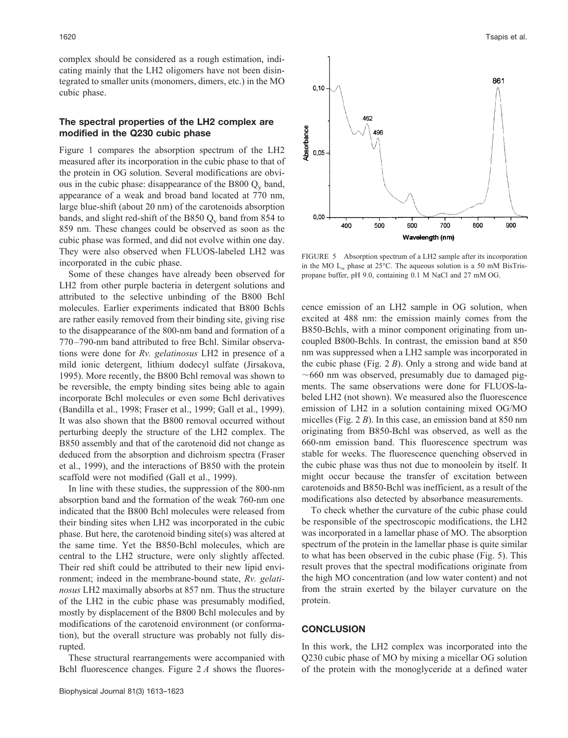complex should be considered as a rough estimation, indicating mainly that the LH2 oligomers have not been disintegrated to smaller units (monomers, dimers, etc.) in the MO cubic phase.

## **The spectral properties of the LH2 complex are modified in the Q230 cubic phase**

Figure 1 compares the absorption spectrum of the LH2 measured after its incorporation in the cubic phase to that of the protein in OG solution. Several modifications are obvious in the cubic phase: disappearance of the B800  $Q<sub>v</sub>$  band, appearance of a weak and broad band located at 770 nm, large blue-shift (about 20 nm) of the carotenoids absorption bands, and slight red-shift of the B850  $Q<sub>v</sub>$  band from 854 to 859 nm. These changes could be observed as soon as the cubic phase was formed, and did not evolve within one day. They were also observed when FLUOS-labeled LH2 was incorporated in the cubic phase.

Some of these changes have already been observed for LH2 from other purple bacteria in detergent solutions and attributed to the selective unbinding of the B800 Bchl molecules. Earlier experiments indicated that B800 Bchls are rather easily removed from their binding site, giving rise to the disappearance of the 800-nm band and formation of a 770 –790-nm band attributed to free Bchl. Similar observations were done for *Rv. gelatinosus* LH2 in presence of a mild ionic detergent, lithium dodecyl sulfate (Jirsakova, 1995). More recently, the B800 Bchl removal was shown to be reversible, the empty binding sites being able to again incorporate Bchl molecules or even some Bchl derivatives (Bandilla et al., 1998; Fraser et al., 1999; Gall et al., 1999). It was also shown that the B800 removal occurred without perturbing deeply the structure of the LH2 complex. The B850 assembly and that of the carotenoid did not change as deduced from the absorption and dichroism spectra (Fraser et al., 1999), and the interactions of B850 with the protein scaffold were not modified (Gall et al., 1999).

In line with these studies, the suppression of the 800-nm absorption band and the formation of the weak 760-nm one indicated that the B800 Bchl molecules were released from their binding sites when LH2 was incorporated in the cubic phase. But here, the carotenoid binding site(s) was altered at the same time. Yet the B850-Bchl molecules, which are central to the LH2 structure, were only slightly affected. Their red shift could be attributed to their new lipid environment; indeed in the membrane-bound state, *Rv. gelatinosus* LH2 maximally absorbs at 857 nm. Thus the structure of the LH2 in the cubic phase was presumably modified, mostly by displacement of the B800 Bchl molecules and by modifications of the carotenoid environment (or conformation), but the overall structure was probably not fully disrupted.

These structural rearrangements were accompanied with Bchl fluorescence changes. Figure 2 *A* shows the fluores-



FIGURE 5 Absorption spectrum of a LH2 sample after its incorporation in the MO  $L_{\alpha}$  phase at 25°C. The aqueous solution is a 50 mM BisTrispropane buffer, pH 9.0, containing 0.1 M NaCl and 27 mM OG.

cence emission of an LH2 sample in OG solution, when excited at 488 nm: the emission mainly comes from the B850-Bchls, with a minor component originating from uncoupled B800-Bchls. In contrast, the emission band at 850 nm was suppressed when a LH2 sample was incorporated in the cubic phase (Fig. 2 *B*). Only a strong and wide band at  $\sim$  660 nm was observed, presumably due to damaged pigments. The same observations were done for FLUOS-labeled LH2 (not shown). We measured also the fluorescence emission of LH2 in a solution containing mixed OG/MO micelles (Fig. 2 *B*). In this case, an emission band at 850 nm originating from B850-Bchl was observed, as well as the 660-nm emission band. This fluorescence spectrum was stable for weeks. The fluorescence quenching observed in the cubic phase was thus not due to monoolein by itself. It might occur because the transfer of excitation between carotenoids and B850-Bchl was inefficient, as a result of the modifications also detected by absorbance measurements.

To check whether the curvature of the cubic phase could be responsible of the spectroscopic modifications, the LH2 was incorporated in a lamellar phase of MO. The absorption spectrum of the protein in the lamellar phase is quite similar to what has been observed in the cubic phase (Fig. 5). This result proves that the spectral modifications originate from the high MO concentration (and low water content) and not from the strain exerted by the bilayer curvature on the protein.

## **CONCLUSION**

In this work, the LH2 complex was incorporated into the Q230 cubic phase of MO by mixing a micellar OG solution of the protein with the monoglyceride at a defined water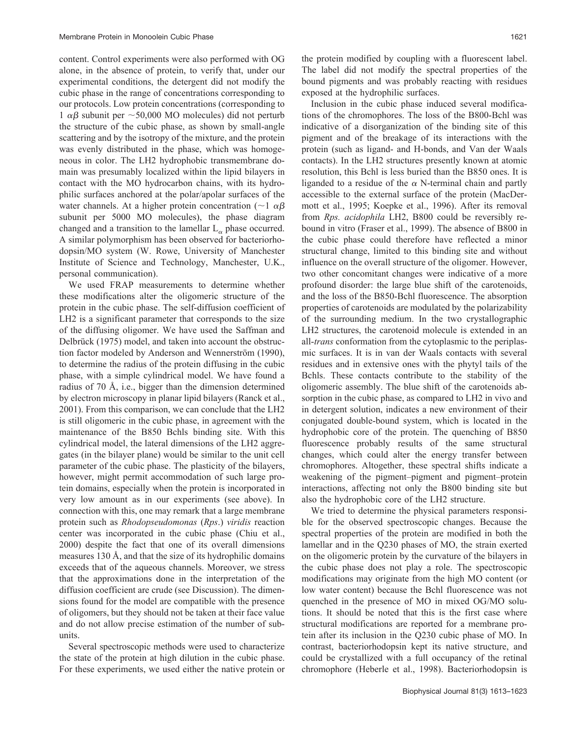content. Control experiments were also performed with OG alone, in the absence of protein, to verify that, under our experimental conditions, the detergent did not modify the cubic phase in the range of concentrations corresponding to our protocols. Low protein concentrations (corresponding to 1  $\alpha\beta$  subunit per ~50,000 MO molecules) did not perturb the structure of the cubic phase, as shown by small-angle scattering and by the isotropy of the mixture, and the protein was evenly distributed in the phase, which was homogeneous in color. The LH2 hydrophobic transmembrane domain was presumably localized within the lipid bilayers in contact with the MO hydrocarbon chains, with its hydrophilic surfaces anchored at the polar/apolar surfaces of the water channels. At a higher protein concentration ( $\sim$ 1  $\alpha\beta$ ) subunit per 5000 MO molecules), the phase diagram changed and a transition to the lamellar  $L_{\alpha}$  phase occurred. A similar polymorphism has been observed for bacteriorhodopsin/MO system (W. Rowe, University of Manchester Institute of Science and Technology, Manchester, U.K., personal communication).

We used FRAP measurements to determine whether these modifications alter the oligomeric structure of the protein in the cubic phase. The self-diffusion coefficient of LH2 is a significant parameter that corresponds to the size of the diffusing oligomer. We have used the Saffman and Delbrück (1975) model, and taken into account the obstruction factor modeled by Anderson and Wennerström (1990), to determine the radius of the protein diffusing in the cubic phase, with a simple cylindrical model. We have found a radius of 70 Å, i.e., bigger than the dimension determined by electron microscopy in planar lipid bilayers (Ranck et al., 2001). From this comparison, we can conclude that the LH2 is still oligomeric in the cubic phase, in agreement with the maintenance of the B850 Bchls binding site. With this cylindrical model, the lateral dimensions of the LH2 aggregates (in the bilayer plane) would be similar to the unit cell parameter of the cubic phase. The plasticity of the bilayers, however, might permit accommodation of such large protein domains, especially when the protein is incorporated in very low amount as in our experiments (see above). In connection with this, one may remark that a large membrane protein such as *Rhodopseudomonas* (*Rps*.) *viridis* reaction center was incorporated in the cubic phase (Chiu et al., 2000) despite the fact that one of its overall dimensions measures 130 Å, and that the size of its hydrophilic domains exceeds that of the aqueous channels. Moreover, we stress that the approximations done in the interpretation of the diffusion coefficient are crude (see Discussion). The dimensions found for the model are compatible with the presence of oligomers, but they should not be taken at their face value and do not allow precise estimation of the number of subunits.

Several spectroscopic methods were used to characterize the state of the protein at high dilution in the cubic phase. For these experiments, we used either the native protein or

Inclusion in the cubic phase induced several modifications of the chromophores. The loss of the B800-Bchl was indicative of a disorganization of the binding site of this pigment and of the breakage of its interactions with the protein (such as ligand- and H-bonds, and Van der Waals contacts). In the LH2 structures presently known at atomic resolution, this Bchl is less buried than the B850 ones. It is liganded to a residue of the  $\alpha$  N-terminal chain and partly accessible to the external surface of the protein (MacDermott et al., 1995; Koepke et al., 1996). After its removal from *Rps. acidophila* LH2, B800 could be reversibly rebound in vitro (Fraser et al., 1999). The absence of B800 in the cubic phase could therefore have reflected a minor structural change, limited to this binding site and without influence on the overall structure of the oligomer. However, two other concomitant changes were indicative of a more profound disorder: the large blue shift of the carotenoids, and the loss of the B850-Bchl fluorescence. The absorption properties of carotenoids are modulated by the polarizability of the surrounding medium. In the two crystallographic LH2 structures, the carotenoid molecule is extended in an all-*trans* conformation from the cytoplasmic to the periplasmic surfaces. It is in van der Waals contacts with several residues and in extensive ones with the phytyl tails of the Bchls. These contacts contribute to the stability of the oligomeric assembly. The blue shift of the carotenoids absorption in the cubic phase, as compared to LH2 in vivo and in detergent solution, indicates a new environment of their conjugated double-bound system, which is located in the hydrophobic core of the protein. The quenching of B850 fluorescence probably results of the same structural changes, which could alter the energy transfer between chromophores. Altogether, these spectral shifts indicate a weakening of the pigment–pigment and pigment–protein interactions, affecting not only the B800 binding site but also the hydrophobic core of the LH2 structure.

We tried to determine the physical parameters responsible for the observed spectroscopic changes. Because the spectral properties of the protein are modified in both the lamellar and in the Q230 phases of MO, the strain exerted on the oligomeric protein by the curvature of the bilayers in the cubic phase does not play a role. The spectroscopic modifications may originate from the high MO content (or low water content) because the Bchl fluorescence was not quenched in the presence of MO in mixed OG/MO solutions. It should be noted that this is the first case where structural modifications are reported for a membrane protein after its inclusion in the Q230 cubic phase of MO. In contrast, bacteriorhodopsin kept its native structure, and could be crystallized with a full occupancy of the retinal chromophore (Heberle et al., 1998). Bacteriorhodopsin is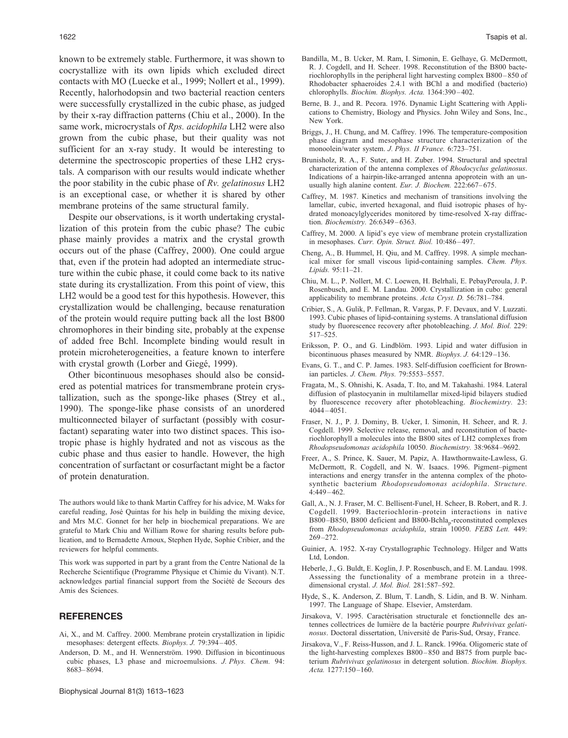known to be extremely stable. Furthermore, it was shown to cocrystallize with its own lipids which excluded direct contacts with MO (Luecke et al., 1999; Nollert et al., 1999). Recently, halorhodopsin and two bacterial reaction centers were successfully crystallized in the cubic phase, as judged by their x-ray diffraction patterns (Chiu et al., 2000). In the same work, microcrystals of *Rps. acidophila* LH2 were also grown from the cubic phase, but their quality was not sufficient for an x-ray study. It would be interesting to determine the spectroscopic properties of these LH2 crystals. A comparison with our results would indicate whether the poor stability in the cubic phase of *Rv. gelatinosus* LH2 is an exceptional case, or whether it is shared by other membrane proteins of the same structural family.

Despite our observations, is it worth undertaking crystallization of this protein from the cubic phase? The cubic phase mainly provides a matrix and the crystal growth occurs out of the phase (Caffrey, 2000). One could argue that, even if the protein had adopted an intermediate structure within the cubic phase, it could come back to its native state during its crystallization. From this point of view, this LH2 would be a good test for this hypothesis. However, this crystallization would be challenging, because renaturation of the protein would require putting back all the lost B800 chromophores in their binding site, probably at the expense of added free Bchl. Incomplete binding would result in protein microheterogeneities, a feature known to interfere with crystal growth (Lorber and Giegé, 1999).

Other bicontinuous mesophases should also be considered as potential matrices for transmembrane protein crystallization, such as the sponge-like phases (Strey et al., 1990). The sponge-like phase consists of an unordered multiconnected bilayer of surfactant (possibly with cosurfactant) separating water into two distinct spaces. This isotropic phase is highly hydrated and not as viscous as the cubic phase and thus easier to handle. However, the high concentration of surfactant or cosurfactant might be a factor of protein denaturation.

The authors would like to thank Martin Caffrey for his advice, M. Waks for careful reading, Jose´ Quintas for his help in building the mixing device, and Mrs M.C. Gonnet for her help in biochemical preparations. We are grateful to Mark Chiu and William Rowe for sharing results before publication, and to Bernadette Arnoux, Stephen Hyde, Sophie Cribier, and the reviewers for helpful comments.

This work was supported in part by a grant from the Centre National de la Recherche Scientifique (Programme Physique et Chimie du Vivant). N.T. acknowledges partial financial support from the Société de Secours des Amis des Sciences.

#### **REFERENCES**

- Ai, X., and M. Caffrey. 2000. Membrane protein crystallization in lipidic mesophases: detergent effects. *Biophys. J.* 79:394 – 405.
- Anderson, D. M., and H. Wennerström. 1990. Diffusion in bicontinuous cubic phases, L3 phase and microemulsions. *J. Phys. Chem.* 94: 8683– 8694.
- Bandilla, M., B. Ucker, M. Ram, I. Simonin, E. Gelhaye, G. McDermott, R. J. Cogdell, and H. Scheer. 1998. Reconstitution of the B800 bacteriochlorophylls in the peripheral light harvesting complex B800 – 850 of Rhodobacter sphaeroides 2.4.1 with BChl a and modified (bacterio) chlorophylls. *Biochim. Biophys. Acta.* 1364:390-402.
- Berne, B. J., and R. Pecora. 1976. Dynamic Light Scattering with Applications to Chemistry, Biology and Physics. John Wiley and Sons, Inc., New York.
- Briggs, J., H. Chung, and M. Caffrey. 1996. The temperature-composition phase diagram and mesophase structure characterization of the monoolein/water system. *J. Phys. II France.* 6:723–751.
- Brunisholz, R. A., F. Suter, and H. Zuber. 1994. Structural and spectral characterization of the antenna complexes of *Rhodocyclus gelatinosus*. Indications of a hairpin-like-arranged antenna apoprotein with an unusually high alanine content. *Eur. J. Biochem.* 222:667–675.
- Caffrey, M. 1987. Kinetics and mechanism of transitions involving the lamellar, cubic, inverted hexagonal, and fluid isotropic phases of hydrated monoacylglycerides monitored by time-resolved X-ray diffraction. *Biochemistry.* 26:6349 – 6363.
- Caffrey, M. 2000. A lipid's eye view of membrane protein crystallization in mesophases. *Curr. Opin. Struct. Biol.* 10:486-497.
- Cheng, A., B. Hummel, H. Qiu, and M. Caffrey. 1998. A simple mechanical mixer for small viscous lipid-containing samples. *Chem. Phys. Lipids.* 95:11–21.
- Chiu, M. L., P. Nollert, M. C. Loewen, H. Belrhali, E. PebayPeroula, J. P. Rosenbusch, and E. M. Landau. 2000. Crystallization in cubo: general applicability to membrane proteins. *Acta Cryst. D.* 56:781–784.
- Cribier, S., A. Gulik, P. Fellman, R. Vargas, P. F. Devaux, and V. Luzzati. 1993. Cubic phases of lipid-containing systems. A translational diffusion study by fluorescence recovery after photobleaching. *J. Mol. Biol.* 229: 517–525.
- Eriksson, P. O., and G. Lindblöm. 1993. Lipid and water diffusion in bicontinuous phases measured by NMR. *Biophys. J.* 64:129 –136.
- Evans, G. T., and C. P. James. 1983. Self-diffusion coefficient for Brownian particles. *J. Chem. Phys.* 79:5553–5557.
- Fragata, M., S. Ohnishi, K. Asada, T. Ito, and M. Takahashi. 1984. Lateral diffusion of plastocyanin in multilamellar mixed-lipid bilayers studied by fluorescence recovery after photobleaching. *Biochemistry.* 23: 4044 – 4051.
- Fraser, N. J., P. J. Dominy, B. Ucker, I. Simonin, H. Scheer, and R. J. Cogdell. 1999. Selective release, removal, and reconstitution of bacteriochlorophyll a molecules into the B800 sites of LH2 complexes from *Rhodopseudomonas acidophila* 10050. *Biochemistry.* 38:9684 –9692.
- Freer, A., S. Prince, K. Sauer, M. Papiz, A. Hawthornwaite-Lawless, G. McDermott, R. Cogdell, and N. W. Isaacs. 1996. Pigment–pigment interactions and energy transfer in the antenna complex of the photosynthetic bacterium *Rhodopseudomonas acidophila*. *Structure.* 4:449 – 462.
- Gall, A., N. J. Fraser, M. C. Bellisent-Funel, H. Scheer, B. Robert, and R. J. Cogdell. 1999. Bacteriochlorin–protein interactions in native B800 –B850, B800 deficient and B800-Bchlap-reconstituted complexes from *Rhodopseudomonas acidophila*, strain 10050. *FEBS Lett.* 449: 269 –272.
- Guinier, A. 1952. X-ray Crystallographic Technology. Hilger and Watts Ltd, London.
- Heberle, J., G. Buldt, E. Koglin, J. P. Rosenbusch, and E. M. Landau. 1998. Assessing the functionality of a membrane protein in a threedimensional crystal. *J. Mol. Biol.* 281:587–592.
- Hyde, S., K. Anderson, Z. Blum, T. Landh, S. Lidin, and B. W. Ninham. 1997. The Language of Shape. Elsevier, Amsterdam.
- Jirsakova, V. 1995. Caractérisation structurale et fonctionnelle des antennes collectrices de lumière de la bactérie pourpre *Rubrivivax gelatinosus*. Doctoral dissertation, Université de Paris-Sud, Orsay, France.
- Jirsakova, V., F. Reiss-Husson, and J. L. Ranck. 1996a. Oligomeric state of the light-harvesting complexes B800 – 850 and B875 from purple bacterium *Rubrivivax gelatinosus* in detergent solution. *Biochim. Biophys. Acta.* 1277:150 –160.